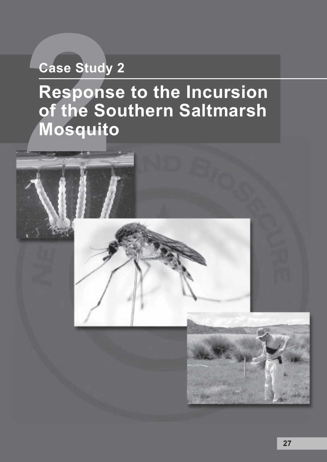# **Case Study 2**

# **222 Case Study<br>
Respons<br>
of the So<br>
Mosquite<br>
A Response to the Incursion of the Southern Saltmarsh Mosquito**



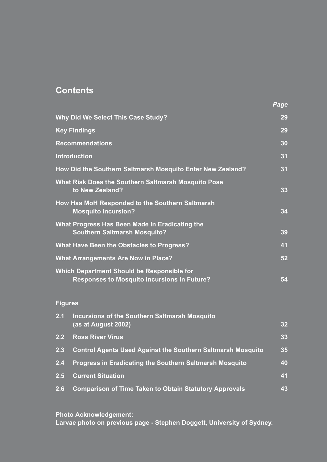# **Contents**

| Why Did We Select This Case Study?               |                                                                                                  |    |  |
|--------------------------------------------------|--------------------------------------------------------------------------------------------------|----|--|
| <b>Key Findings</b>                              |                                                                                                  |    |  |
|                                                  | <b>Recommendations</b>                                                                           |    |  |
|                                                  | <b>Introduction</b>                                                                              | 31 |  |
|                                                  | How Did the Southern Saltmarsh Mosquito Enter New Zealand?                                       | 31 |  |
|                                                  | What Risk Does the Southern Saltmarsh Mosquito Pose<br>to New Zealand?                           | 33 |  |
|                                                  | How Has MoH Responded to the Southern Saltmarsh<br><b>Mosquito Incursion?</b>                    | 34 |  |
|                                                  | What Progress Has Been Made in Eradicating the<br><b>Southern Saltmarsh Mosquito?</b>            | 39 |  |
| <b>What Have Been the Obstacles to Progress?</b> |                                                                                                  |    |  |
| <b>What Arrangements Are Now in Place?</b>       |                                                                                                  |    |  |
|                                                  | Which Department Should be Responsible for<br><b>Responses to Mosquito Incursions in Future?</b> | 54 |  |
| <b>Figures</b>                                   |                                                                                                  |    |  |
| 2.1                                              | <b>Incursions of the Southern Saltmarsh Mosquito</b><br>(as at August 2002)                      | 32 |  |
| $\overline{2.2}$                                 | <b>Ross River Virus</b>                                                                          | 33 |  |
| 2.3                                              | <b>Control Agents Used Against the Southern Saltmarsh Mosquito</b>                               | 35 |  |
| 2.4                                              | <b>Progress in Eradicating the Southern Saltmarsh Mosquito</b>                                   | 40 |  |
| 2.5                                              | <b>Current Situation</b>                                                                         | 41 |  |
| 2.6                                              | <b>Comparison of Time Taken to Obtain Statutory Approvals</b>                                    | 43 |  |

*Page*

**Photo Acknowledgement: Larvae photo on previous page - Stephen Doggett, University of Sydney.**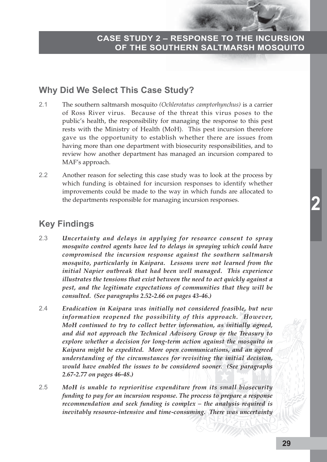# **Why Did We Select This Case Study?**

- 2.1 The southern saltmarsh mosquito *(Ochlerotatus camptorhynchus)* is a carrier of Ross River virus. Because of the threat this virus poses to the public's health, the responsibility for managing the response to this pest rests with the Ministry of Health (MoH). This pest incursion therefore gave us the opportunity to establish whether there are issues from having more than one department with biosecurity responsibilities, and to review how another department has managed an incursion compared to MAF's approach.
- 2.2 Another reason for selecting this case study was to look at the process by which funding is obtained for incursion responses to identify whether improvements could be made to the way in which funds are allocated to the departments responsible for managing incursion responses.

# **Key Findings**

- 2.3 *Uncertainty and delays in applying for resource consent to spray mosquito control agents have led to delays in spraying which could have compromised the incursion response against the southern saltmarsh mosquito, particularly in Kaipara. Lessons were not learned from the initial Napier outbreak that had been well managed. This experience illustrates the tensions that exist between the need to act quickly against a pest, and the legitimate expectations of communities that they will be consulted. (See paragraphs 2.52-2.66 on pages 43-46.)*
- 2.4 *Eradication in Kaipara was initially not considered feasible, but new information reopened the possibility of this approach. However, MoH continued to try to collect better information, as initially agreed, and did not approach the Technical Advisory Group or the Treasury to explore whether a decision for long-term action against the mosquito in Kaipara might be expedited. More open communications, and an agreed understanding of the circumstances for revisiting the initial decision, would have enabled the issues to be considered sooner. (See paragraphs 2.67-2.77 on pages 46-48.)*
- 2.5 *MoH is unable to reprioritise expenditure from its small biosecurity funding to pay for an incursion response. The process to prepare a response recommendation and seek funding is complex – the analysis required is inevitably resource-intensive and time-consuming. There was uncertainty*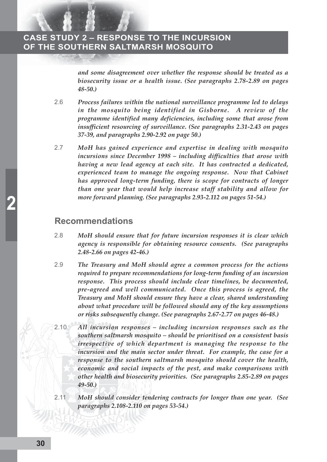*and some disagreement over whether the response should be treated as a biosecurity issue or a health issue. (See paragraphs 2.78-2.89 on pages 48-50.)*

- 2.6 *Process failures within the national surveillance programme led to delays in the mosquito being identified in Gisborne. A review of the programme identified many deficiencies, including some that arose from insufficient resourcing of surveillance. (See paragraphs 2.31-2.43 on pages 37-39, and paragraphs 2.90-2.92 on page 50.)*
- 2.7 *MoH has gained experience and expertise in dealing with mosquito incursions since December 1998 – including difficulties that arose with having a new lead agency at each site. It has contracted a dedicated, experienced team to manage the ongoing response. Now that Cabinet has approved long-term funding, there is scope for contracts of longer than one year that would help increase staff stability and allow for more forward planning. (See paragraphs 2.93-2.112 on pages 51-54.)*

#### **Recommendations**

- 2.8 *MoH should ensure that for future incursion responses it is clear which agency is responsible for obtaining resource consents. (See paragraphs 2.48-2.66 on pages 42-46.)*
- 2.9 *The Treasury and MoH should agree a common process for the actions required to prepare recommendations for long-term funding of an incursion response. This process should include clear timelines, be documented, pre-agreed and well communicated. Once this process is agreed, the Treasury and MoH should ensure they have a clear, shared understanding about what procedure will be followed should any of the key assumptions or risks subsequently change. (See paragraphs 2.67-2.77 on pages 46-48.)*
- 2.10 *All incursion responses including incursion responses such as the southern saltmarsh mosquito – should be prioritised on a consistent basis irrespective of which department is managing the response to the incursion and the main sector under threat. For example, the case for a response to the southern saltmarsh mosquito should cover the health, economic and social impacts of the pest, and make comparisons with other health and biosecurity priorities. (See paragraphs 2.85-2.89 on pages 49-50.)*
- 2.11 *MoH should consider tendering contracts for longer than one year. (See paragraphs 2.108-2.110 on pages 53-54.)*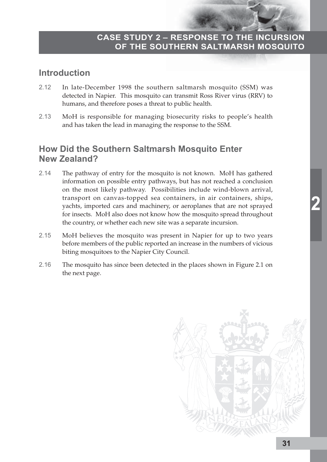# **Introduction**

- 2.12 In late-December 1998 the southern saltmarsh mosquito (SSM) was detected in Napier. This mosquito can transmit Ross River virus (RRV) to humans, and therefore poses a threat to public health.
- 2.13 MoH is responsible for managing biosecurity risks to people's health and has taken the lead in managing the response to the SSM.

# **How Did the Southern Saltmarsh Mosquito Enter New Zealand?**

- 2.14 The pathway of entry for the mosquito is not known. MoH has gathered information on possible entry pathways, but has not reached a conclusion on the most likely pathway. Possibilities include wind-blown arrival, transport on canvas-topped sea containers, in air containers, ships, yachts, imported cars and machinery, or aeroplanes that are not sprayed for insects. MoH also does not know how the mosquito spread throughout the country, or whether each new site was a separate incursion.
- 2.15 MoH believes the mosquito was present in Napier for up to two years before members of the public reported an increase in the numbers of vicious biting mosquitoes to the Napier City Council.
- 2.16 The mosquito has since been detected in the places shown in Figure 2.1 on the next page.



**2**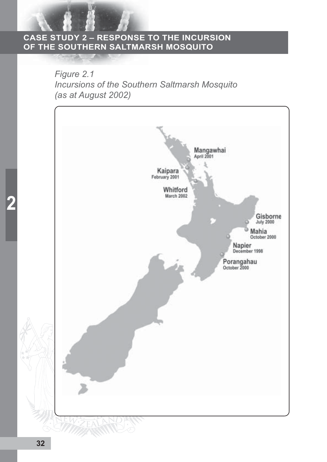*Figure 2.1 Incursions of the Southern Saltmarsh Mosquito (as at August 2002)*

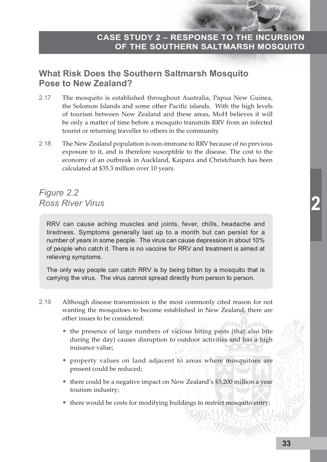# **What Risk Does the Southern Saltmarsh Mosquito Pose to New Zealand?**

- 2.17 The mosquito is established throughout Australia, Papua New Guinea, the Solomon Islands and some other Pacific islands. With the high levels of tourism between New Zealand and these areas, MoH believes it will be only a matter of time before a mosquito transmits RRV from an infected tourist or returning traveller to others in the community.
- 2.18 The New Zealand population is non-immune to RRV because of no previous exposure to it, and is therefore susceptible to the disease. The cost to the economy of an outbreak in Auckland, Kaipara and Christchurch has been calculated at \$35.3 million over 10 years.

# *Figure 2.2 Ross River Virus*

RRV can cause aching muscles and joints, fever, chills, headache and tiredness. Symptoms generally last up to a month but can persist for a number of years in some people. The virus can cause depression in about 10% of people who catch it. There is no vaccine for RRV and treatment is aimed at relieving symptoms.

The only way people can catch RRV is by being bitten by a mosquito that is carrying the virus. The virus cannot spread directly from person to person.

- 2.19 Although disease transmission is the most commonly cited reason for not wanting the mosquitoes to become established in New Zealand, there are other issues to be considered:
	- the presence of large numbers of vicious biting pests (that also bite during the day) causes disruption to outdoor activities and has a high nuisance value;
	- property values on land adjacent to areas where mosquitoes are present could be reduced;
	- there could be a negative impact on New Zealand's \$3,200 million a year tourism industry;
	- there would be costs for modifying buildings to restrict mosquito entry;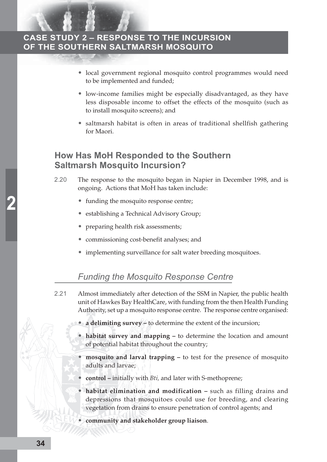- local government regional mosquito control programmes would need to be implemented and funded;
- low-income families might be especially disadvantaged, as they have less disposable income to offset the effects of the mosquito (such as to install mosquito screens); and
- saltmarsh habitat is often in areas of traditional shellfish gathering for Maori.

#### **How Has MoH Responded to the Southern Saltmarsh Mosquito Incursion?**

- 2.20 The response to the mosquito began in Napier in December 1998, and is ongoing. Actions that MoH has taken include:
	- funding the mosquito response centre;
	- establishing a Technical Advisory Group;
	- preparing health risk assessments;
	- commissioning cost-benefit analyses; and
	- implementing surveillance for salt water breeding mosquitoes.

#### *Funding the Mosquito Response Centre*

- 2.21 Almost immediately after detection of the SSM in Napier, the public health unit of Hawkes Bay HealthCare, with funding from the then Health Funding Authority, set up a mosquito response centre. The response centre organised:
	- **a delimiting survey** to determine the extent of the incursion;
	- **habitat survey and mapping** to determine the location and amount of potential habitat throughout the country;
	- **mosquito and larval trapping** to test for the presence of mosquito adults and larvae;
	- **control –** initially with *Bti,* and later with S-methoprene;
	- habitat elimination and modification such as filling drains and depressions that mosquitoes could use for breeding, and clearing vegetation from drains to ensure penetration of control agents; and
	- **community and stakeholder group liaison**.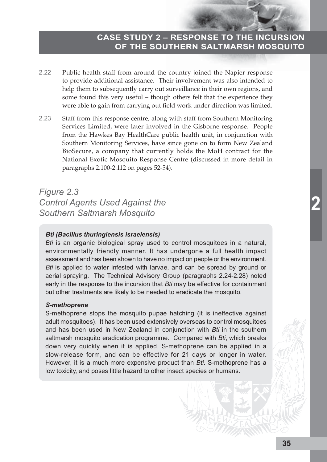- 2.22 Public health staff from around the country joined the Napier response to provide additional assistance. Their involvement was also intended to help them to subsequently carry out surveillance in their own regions, and some found this very useful – though others felt that the experience they were able to gain from carrying out field work under direction was limited.
- 2.23 Staff from this response centre, along with staff from Southern Monitoring Services Limited, were later involved in the Gisborne response. People from the Hawkes Bay HealthCare public health unit, in conjunction with Southern Monitoring Services, have since gone on to form New Zealand BioSecure, a company that currently holds the MoH contract for the National Exotic Mosquito Response Centre (discussed in more detail in paragraphs 2.100-2.112 on pages 52-54).

*Figure 2.3 Control Agents Used Against the Southern Saltmarsh Mosquito*

#### *Bti (Bacillus thuringiensis israelensis)*

*Bti* is an organic biological spray used to control mosquitoes in a natural, environmentally friendly manner. It has undergone a full health impact assessment and has been shown to have no impact on people or the environment. *Bti* is applied to water infested with larvae, and can be spread by ground or aerial spraying. The Technical Advisory Group (paragraphs 2.24-2.28) noted early in the response to the incursion that *Bti* may be effective for containment but other treatments are likely to be needed to eradicate the mosquito.

#### *S-methoprene*

S-methoprene stops the mosquito pupae hatching (it is ineffective against adult mosquitoes). It has been used extensively overseas to control mosquitoes and has been used in New Zealand in conjunction with *Bti* in the southern saltmarsh mosquito eradication programme. Compared with *Bti*, which breaks down very quickly when it is applied, S-methoprene can be applied in a slow-release form, and can be effective for 21 days or longer in water. However, it is a much more expensive product than *Bti*. S-methoprene has a low toxicity, and poses little hazard to other insect species or humans.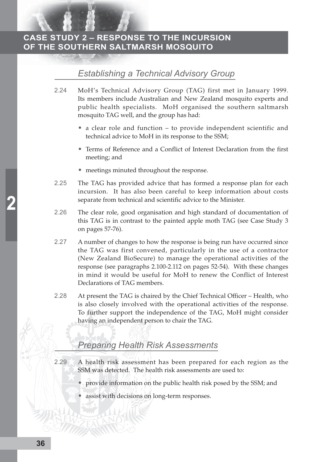# *Establishing a Technical Advisory Group*

- 2.24 MoH's Technical Advisory Group (TAG) first met in January 1999. Its members include Australian and New Zealand mosquito experts and public health specialists. MoH organised the southern saltmarsh mosquito TAG well, and the group has had:
	- a clear role and function to provide independent scientific and technical advice to MoH in its response to the SSM;
	- Terms of Reference and a Conflict of Interest Declaration from the first meeting; and
	- meetings minuted throughout the response.
- 2.25 The TAG has provided advice that has formed a response plan for each incursion. It has also been careful to keep information about costs separate from technical and scientific advice to the Minister.
- 2.26 The clear role, good organisation and high standard of documentation of this TAG is in contrast to the painted apple moth TAG (see Case Study 3 on pages 57-76).
- 2.27 A number of changes to how the response is being run have occurred since the TAG was first convened, particularly in the use of a contractor (New Zealand BioSecure) to manage the operational activities of the response (see paragraphs 2.100-2.112 on pages 52-54). With these changes in mind it would be useful for MoH to renew the Conflict of Interest Declarations of TAG members.
- 2.28 At present the TAG is chaired by the Chief Technical Officer Health, who is also closely involved with the operational activities of the response. To further support the independence of the TAG, MoH might consider having an independent person to chair the TAG.

# *Preparing Health Risk Assessments*

- 2.29 A health risk assessment has been prepared for each region as the SSM was detected. The health risk assessments are used to:
	- provide information on the public health risk posed by the SSM; and
	- assist with decisions on long-term responses.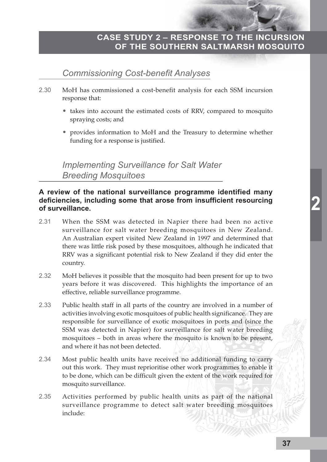#### *Commissioning Cost-benefit Analyses*

- 2.30 MoH has commissioned a cost-benefit analysis for each SSM incursion response that:
	- takes into account the estimated costs of RRV, compared to mosquito spraying costs; and
	- provides information to MoH and the Treasury to determine whether funding for a response is justified.

*Implementing Surveillance for Salt Water Breeding Mosquitoes*

#### **A review of the national surveillance programme identified many deficiencies, including some that arose from insufficient resourcing of surveillance.**

- 2.31 When the SSM was detected in Napier there had been no active surveillance for salt water breeding mosquitoes in New Zealand. An Australian expert visited New Zealand in 1997 and determined that there was little risk posed by these mosquitoes, although he indicated that RRV was a significant potential risk to New Zealand if they did enter the country.
- 2.32 MoH believes it possible that the mosquito had been present for up to two years before it was discovered. This highlights the importance of an effective, reliable surveillance programme.
- 2.33 Public health staff in all parts of the country are involved in a number of activities involving exotic mosquitoes of public health significance. They are responsible for surveillance of exotic mosquitoes in ports and (since the SSM was detected in Napier) for surveillance for salt water breeding mosquitoes – both in areas where the mosquito is known to be present, and where it has not been detected.
- 2.34 Most public health units have received no additional funding to carry out this work. They must reprioritise other work programmes to enable it to be done, which can be difficult given the extent of the work required for mosquito surveillance.
- 2.35 Activities performed by public health units as part of the national surveillance programme to detect salt water breeding mosquitoes include: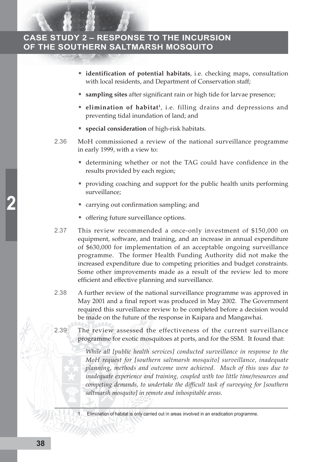- **identification of potential habitats**, i.e. checking maps, consultation with local residents, and Department of Conservation staff;
- **sampling sites** after significant rain or high tide for larvae presence;
- **elimination of habitat<sup>1</sup>**, i.e. filling drains and depressions and preventing tidal inundation of land; and
- **special consideration** of high-risk habitats.
- 2.36 MoH commissioned a review of the national surveillance programme in early 1999, with a view to:
	- determining whether or not the TAG could have confidence in the results provided by each region;
	- providing coaching and support for the public health units performing surveillance;
	- carrying out confirmation sampling; and
	- offering future surveillance options.
- 2.37 This review recommended a once-only investment of \$150,000 on equipment, software, and training, and an increase in annual expenditure of \$630,000 for implementation of an acceptable ongoing surveillance programme. The former Health Funding Authority did not make the increased expenditure due to competing priorities and budget constraints. Some other improvements made as a result of the review led to more efficient and effective planning and surveillance.
- 2.38 A further review of the national surveillance programme was approved in May 2001 and a final report was produced in May 2002. The Government required this surveillance review to be completed before a decision would be made on the future of the response in Kaipara and Mangawhai.
- 2.39 The review assessed the effectiveness of the current surveillance programme for exotic mosquitoes at ports, and for the SSM. It found that:

*While all [public health services] conducted surveillance in response to the MoH request for [southern saltmarsh mosquito] surveillance, inadequate planning, methods and outcome were achieved. Much of this was due to inadequate experience and training, coupled with too little time/resources and competing demands, to undertake the difficult task of surveying for [southern saltmarsh mosquito] in remote and inhospitable areas.*

Elimination of habitat is only carried out in areas involved in an eradication programme.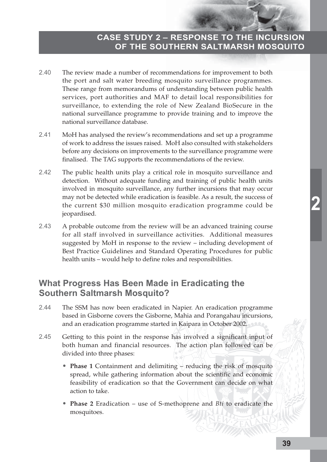- 2.40 The review made a number of recommendations for improvement to both the port and salt water breeding mosquito surveillance programmes. These range from memorandums of understanding between public health services, port authorities and MAF to detail local responsibilities for surveillance, to extending the role of New Zealand BioSecure in the national surveillance programme to provide training and to improve the national surveillance database.
- 2.41 MoH has analysed the review's recommendations and set up a programme of work to address the issues raised. MoH also consulted with stakeholders before any decisions on improvements to the surveillance programme were finalised. The TAG supports the recommendations of the review.
- 2.42 The public health units play a critical role in mosquito surveillance and detection. Without adequate funding and training of public health units involved in mosquito surveillance, any further incursions that may occur may not be detected while eradication is feasible. As a result, the success of the current \$30 million mosquito eradication programme could be jeopardised.
- 2.43 A probable outcome from the review will be an advanced training course for all staff involved in surveillance activities. Additional measures suggested by MoH in response to the review – including development of Best Practice Guidelines and Standard Operating Procedures for public health units – would help to define roles and responsibilities.

# **What Progress Has Been Made in Eradicating the Southern Saltmarsh Mosquito?**

- 2.44 The SSM has now been eradicated in Napier. An eradication programme based in Gisborne covers the Gisborne, Mahia and Porangahau incursions, and an eradication programme started in Kaipara in October 2002.
- 2.45 Getting to this point in the response has involved a significant input of both human and financial resources. The action plan followed can be divided into three phases:
	- **Phase 1** Containment and delimiting reducing the risk of mosquito spread, while gathering information about the scientific and economic feasibility of eradication so that the Government can decide on what action to take.
	- **Phase 2** Eradication use of S-methoprene and *Bti* to eradicate the mosquitoes.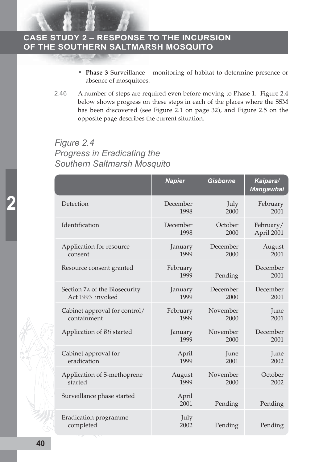- **Phase 3** Surveillance monitoring of habitat to determine presence or absence of mosquitoes.
- 2.46 A number of steps are required even before moving to Phase 1. Figure 2.4 below shows progress on these steps in each of the places where the SSM has been discovered (see Figure 2.1 on page 32), and Figure 2.5 on the opposite page describes the current situation.

# *Figure 2.4 Progress in Eradicating the Southern Saltmarsh Mosquito*

|                                    | <b>Napier</b>    | <b>Gisborne</b> | Kaipara/<br><b>Mangawhai</b> |
|------------------------------------|------------------|-----------------|------------------------------|
| Detection                          | December         | July            | February                     |
|                                    | 1998             | 2000            | 2001                         |
| Identification                     | December         | October         | February/                    |
|                                    | 1998             | 2000            | April 2001                   |
| Application for resource           | January          | December        | August                       |
| consent                            | 1999             | 2000            | 2001                         |
| Resource consent granted           | February<br>1999 | Pending         | December<br>2001             |
| Section 7A of the Biosecurity      | January          | December        | December                     |
| Act 1993 invoked                   | 1999             | 2000            | 2001                         |
| Cabinet approval for control/      | February         | November        | June                         |
| containment                        | 1999             | 2000            | 2001                         |
| Application of Bti started         | January          | November        | December                     |
|                                    | 1999             | 2000            | 2001                         |
| Cabinet approval for               | April            | June            | June                         |
| eradication                        | 1999             | 2001            | 2002                         |
| Application of S-methoprene        | August           | November        | October                      |
| started                            | 1999             | 2000            | 2002                         |
| Surveillance phase started         | April<br>2001    | Pending         | Pending                      |
| Eradication programme<br>completed | July<br>2002     | Pending         | Pending                      |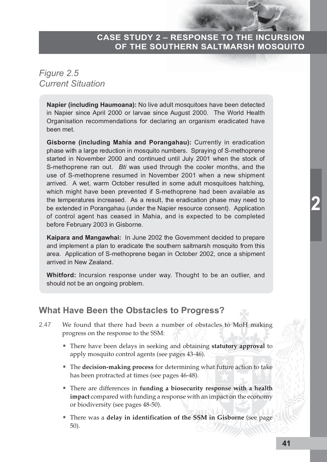# *Figure 2.5 Current Situation*

**Napier (including Haumoana):** No live adult mosquitoes have been detected in Napier since April 2000 or larvae since August 2000. The World Health Organisation recommendations for declaring an organism eradicated have been met.

**Gisborne (including Mahia and Porangahau):** Currently in eradication phase with a large reduction in mosquito numbers. Spraying of S-methoprene started in November 2000 and continued until July 2001 when the stock of S-methoprene ran out. *Bti* was used through the cooler months, and the use of S-methoprene resumed in November 2001 when a new shipment arrived. A wet, warm October resulted in some adult mosquitoes hatching, which might have been prevented if S-methoprene had been available as the temperatures increased. As a result, the eradication phase may need to be extended in Porangahau (under the Napier resource consent). Application of control agent has ceased in Mahia, and is expected to be completed before February 2003 in Gisborne.

**Kaipara and Mangawhai:** In June 2002 the Government decided to prepare and implement a plan to eradicate the southern saltmarsh mosquito from this area. Application of S-methoprene began in October 2002, once a shipment arrived in New Zealand.

**Whitford:** Incursion response under way. Thought to be an outlier, and should not be an ongoing problem.

#### **What Have Been the Obstacles to Progress?**

- 2.47 We found that there had been a number of obstacles to MoH making progress on the response to the SSM:
	- There have been delays in seeking and obtaining **statutory approval** to apply mosquito control agents (see pages 43-46).
	- The **decision-making process** for determining what future action to take has been protracted at times (see pages 46-48).
	- There are differences in **funding a biosecurity response with a health impact** compared with funding a response with an impact on the economy or biodiversity (see pages 48-50).
	- There was a **delay in identification of the SSM in Gisborne** (see page 50).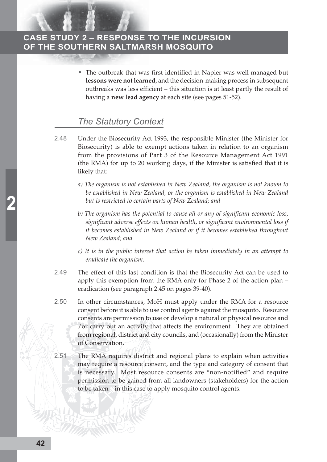The outbreak that was first identified in Napier was well managed but **lessons were not learned**, and the decision-making process in subsequent outbreaks was less efficient – this situation is at least partly the result of having a **new lead agency** at each site (see pages 51-52).

#### *The Statutory Context*

- 2.48 Under the Biosecurity Act 1993, the responsible Minister (the Minister for Biosecurity) is able to exempt actions taken in relation to an organism from the provisions of Part 3 of the Resource Management Act 1991 (the RMA) for up to 20 working days, if the Minister is satisfied that it is likely that:
	- *a) The organism is not established in New Zealand, the organism is not known to be established in New Zealand, or the organism is established in New Zealand but is restricted to certain parts of New Zealand; and*
	- *b) The organism has the potential to cause all or any of significant economic loss, significant adverse effects on human health, or significant environmental loss if it becomes established in New Zealand or if it becomes established throughout New Zealand; and*
	- *c) It is in the public interest that action be taken immediately in an attempt to eradicate the organism.*
- 2.49 The effect of this last condition is that the Biosecurity Act can be used to apply this exemption from the RMA only for Phase 2 of the action plan – eradication (see paragraph 2.45 on pages 39-40).
- 2.50 In other circumstances, MoH must apply under the RMA for a resource consent before it is able to use control agents against the mosquito. Resource consents are permission to use or develop a natural or physical resource and /or carry out an activity that affects the environment. They are obtained from regional, district and city councils, and (occasionally) from the Minister of Conservation.
- 2.51 The RMA requires district and regional plans to explain when activities may require a resource consent, and the type and category of consent that is necessary. Most resource consents are "non-notified" and require permission to be gained from all landowners (stakeholders) for the action to be taken – in this case to apply mosquito control agents.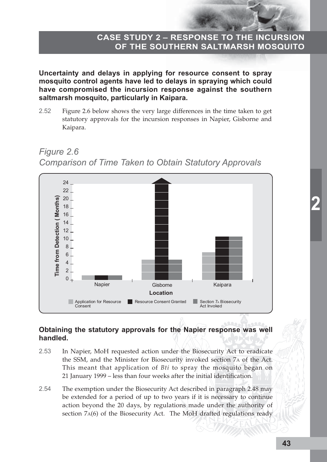**Uncertainty and delays in applying for resource consent to spray mosquito control agents have led to delays in spraying which could have compromised the incursion response against the southern saltmarsh mosquito, particularly in Kaipara.**

2.52 Figure 2.6 below shows the very large differences in the time taken to get statutory approvals for the incursion responses in Napier, Gisborne and Kaipara.





#### **Obtaining the statutory approvals for the Napier response was well handled.**

- 2.53 In Napier, MoH requested action under the Biosecurity Act to eradicate the SSM, and the Minister for Biosecurity invoked section 7A of the Act. This meant that application of *Bti* to spray the mosquito began on 21 January 1999 – less than four weeks after the initial identification.
- 2.54 The exemption under the Biosecurity Act described in paragraph 2.48 may be extended for a period of up to two years if it is necessary to continue action beyond the 20 days, by regulations made under the authority of section 7A(6) of the Biosecurity Act. The MoH drafted regulations ready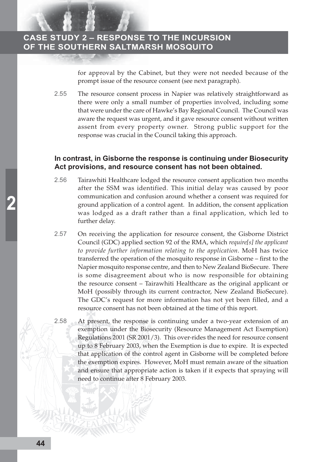for approval by the Cabinet, but they were not needed because of the prompt issue of the resource consent (see next paragraph).

2.55 The resource consent process in Napier was relatively straightforward as there were only a small number of properties involved, including some that were under the care of Hawke's Bay Regional Council. The Council was aware the request was urgent, and it gave resource consent without written assent from every property owner. Strong public support for the response was crucial in the Council taking this approach.

#### **In contrast, in Gisborne the response is continuing under Biosecurity Act provisions, and resource consent has not been obtained.**

- 2.56 Tairawhiti Healthcare lodged the resource consent application two months after the SSM was identified. This initial delay was caused by poor communication and confusion around whether a consent was required for ground application of a control agent. In addition, the consent application was lodged as a draft rather than a final application, which led to further delay.
- 2.57 On receiving the application for resource consent, the Gisborne District Council (GDC) applied section 92 of the RMA, which *require[s] the applicant to provide further information relating to the application*. MoH has twice transferred the operation of the mosquito response in Gisborne – first to the Napier mosquito response centre, and then to New Zealand BioSecure. There is some disagreement about who is now responsible for obtaining the resource consent – Tairawhiti Healthcare as the original applicant or MoH (possibly through its current contractor, New Zealand BioSecure). The GDC's request for more information has not yet been filled, and a resource consent has not been obtained at the time of this report.
- 2.58 At present, the response is continuing under a two-year extension of an exemption under the Biosecurity (Resource Management Act Exemption) Regulations 2001 (SR 2001/3). This over-rides the need for resource consent up to 8 February 2003, when the Exemption is due to expire. It is expected that application of the control agent in Gisborne will be completed before the exemption expires. However, MoH must remain aware of the situation and ensure that appropriate action is taken if it expects that spraying will need to continue after 8 February 2003.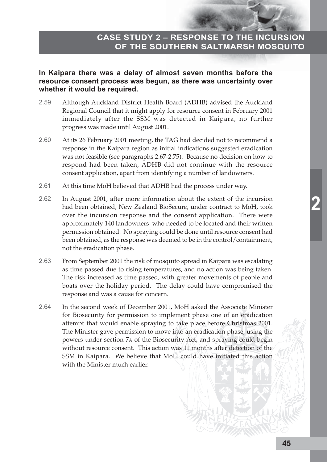#### **In Kaipara there was a delay of almost seven months before the resource consent process was begun, as there was uncertainty over whether it would be required.**

- 2.59 Although Auckland District Health Board (ADHB) advised the Auckland Regional Council that it might apply for resource consent in February 2001 immediately after the SSM was detected in Kaipara, no further progress was made until August 2001.
- 2.60 At its 26 February 2001 meeting, the TAG had decided not to recommend a response in the Kaipara region as initial indications suggested eradication was not feasible (see paragraphs 2.67-2.75). Because no decision on how to respond had been taken, ADHB did not continue with the resource consent application, apart from identifying a number of landowners.
- 2.61 At this time MoH believed that ADHB had the process under way.
- 2.62 In August 2001, after more information about the extent of the incursion had been obtained, New Zealand BioSecure, under contract to MoH, took over the incursion response and the consent application. There were approximately 140 landowners who needed to be located and their written permission obtained. No spraying could be done until resource consent had been obtained, as the response was deemed to be in the control/containment, not the eradication phase.
- 2.63 From September 2001 the risk of mosquito spread in Kaipara was escalating as time passed due to rising temperatures, and no action was being taken. The risk increased as time passed, with greater movements of people and boats over the holiday period. The delay could have compromised the response and was a cause for concern.
- 2.64 In the second week of December 2001, MoH asked the Associate Minister for Biosecurity for permission to implement phase one of an eradication attempt that would enable spraying to take place before Christmas 2001. The Minister gave permission to move into an eradication phase, using the powers under section 7A of the Biosecurity Act, and spraying could begin without resource consent. This action was 11 months after detection of the SSM in Kaipara. We believe that MoH could have initiated this action with the Minister much earlier.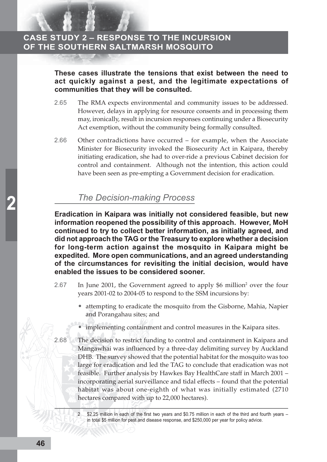**These cases illustrate the tensions that exist between the need to act quickly against a pest, and the legitimate expectations of communities that they will be consulted.**

- 2.65 The RMA expects environmental and community issues to be addressed. However, delays in applying for resource consents and in processing them may, ironically, result in incursion responses continuing under a Biosecurity Act exemption, without the community being formally consulted.
- 2.66 Other contradictions have occurred for example, when the Associate Minister for Biosecurity invoked the Biosecurity Act in Kaipara, thereby initiating eradication, she had to over-ride a previous Cabinet decision for control and containment. Although not the intention, this action could have been seen as pre-empting a Government decision for eradication.

# *The Decision-making Process*

**Eradication in Kaipara was initially not considered feasible, but new information reopened the possibility of this approach. However, MoH continued to try to collect better information, as initially agreed, and did not approach the TAG or the Treasury to explore whether a decision for long-term action against the mosquito in Kaipara might be expedited. More open communications, and an agreed understanding of the circumstances for revisiting the initial decision, would have enabled the issues to be considered sooner.**

- 2.67 In June 2001, the Government agreed to apply \$6 million<sup>2</sup> over the four years 2001-02 to 2004-05 to respond to the SSM incursions by:
	- attempting to eradicate the mosquito from the Gisborne, Mahia, Napier and Porangahau sites; and
	- implementing containment and control measures in the Kaipara sites.
- 2.68 The decision to restrict funding to control and containment in Kaipara and Mangawhai was influenced by a three-day delimiting survey by Auckland DHB. The survey showed that the potential habitat for the mosquito was too large for eradication and led the TAG to conclude that eradication was not feasible. Further analysis by Hawkes Bay HealthCare staff in March 2001 – incorporating aerial surveillance and tidal effects – found that the potential habitat was about one-eighth of what was initially estimated (2710 hectares compared with up to 22,000 hectares).
	- \$2.25 million in each of the first two years and \$0.75 million in each of the third and fourth years in total \$5 million for pest and disease response, and \$250,000 per year for policy advice.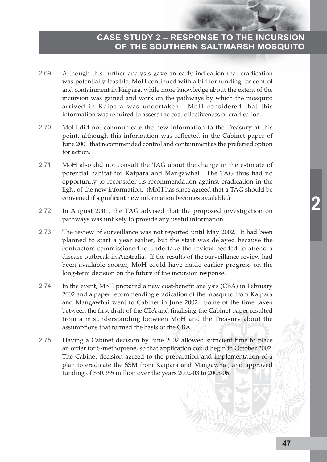- 2.69 Although this further analysis gave an early indication that eradication was potentially feasible, MoH continued with a bid for funding for control and containment in Kaipara, while more knowledge about the extent of the incursion was gained and work on the pathways by which the mosquito arrived in Kaipara was undertaken. MoH considered that this information was required to assess the cost-effectiveness of eradication.
- 2.70 MoH did not communicate the new information to the Treasury at this point, although this information was reflected in the Cabinet paper of June 2001 that recommended control and containment as the preferred option for action.
- 2.71 MoH also did not consult the TAG about the change in the estimate of potential habitat for Kaipara and Mangawhai. The TAG thus had no opportunity to reconsider its recommendation against eradication in the light of the new information. (MoH has since agreed that a TAG should be convened if significant new information becomes available.)
- 2.72 In August 2001, the TAG advised that the proposed investigation on pathways was unlikely to provide any useful information.
- 2.73 The review of surveillance was not reported until May 2002. It had been planned to start a year earlier, but the start was delayed because the contractors commissioned to undertake the review needed to attend a disease outbreak in Australia. If the results of the surveillance review had been available sooner, MoH could have made earlier progress on the long-term decision on the future of the incursion response.
- 2.74 In the event, MoH prepared a new cost-benefit analysis (CBA) in February 2002 and a paper recommending eradication of the mosquito from Kaipara and Mangawhai went to Cabinet in June 2002. Some of the time taken between the first draft of the CBA and finalising the Cabinet paper resulted from a misunderstanding between MoH and the Treasury about the assumptions that formed the basis of the CBA.
- 2.75 Having a Cabinet decision by June 2002 allowed sufficient time to place an order for S-methoprene, so that application could begin in October 2002. The Cabinet decision agreed to the preparation and implementation of a plan to eradicate the SSM from Kaipara and Mangawhai, and approved funding of \$30.355 million over the years 2002-03 to 2005-06.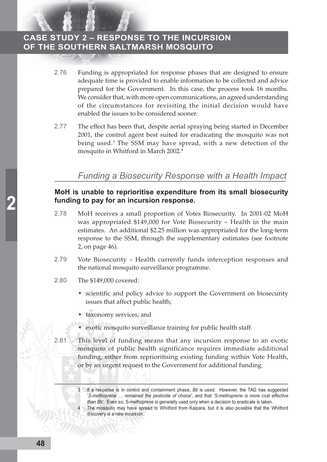- 2.76 Funding is appropriated for response phases that are designed to ensure adequate time is provided to enable information to be collected and advice prepared for the Government. In this case, the process took 16 months. We consider that, with more open communications, an agreed understanding of the circumstances for revisiting the initial decision would have enabled the issues to be considered sooner.
- 2.77 The effect has been that, despite aerial spraying being started in December 2001, the control agent best suited for eradicating the mosquito was not being used.<sup>3</sup> The SSM may have spread, with a new detection of the mosquito in Whitford in March 2002.4

#### *Funding a Biosecurity Response with a Health Impact*

#### **MoH is unable to reprioritise expenditure from its small biosecurity funding to pay for an incursion response.**

- 2.78 MoH receives a small proportion of Votes Biosecurity. In 2001-02 MoH was appropriated \$149,000 for Vote Biosecurity – Health in the main estimates. An additional \$2.25 million was appropriated for the long-term response to the SSM, through the supplementary estimates (see footnote 2, on page 46).
- 2.79 Vote Biosecurity Health currently funds interception responses and the national mosquito surveillance programme.
- 2.80 The \$149,000 covered:
	- scientific and policy advice to support the Government on biosecurity issues that affect public health;
	- taxonomy services; and
	- exotic mosquito surveillance training for public health staff.
- 2.81 This level of funding means that any incursion response to an exotic mosquito of public health significance requires immediate additional funding, either from reprioritising existing funding within Vote Health, or by an urgent request to the Government for additional funding.
	- 3 If a response is in control and containment phase, *Bti* is used. However, the TAG has suggested '*S-methoprene … remained the pesticide of choice'*, and that *'S-methoprene is more cost effective than Bti'.* Even so, S-methoprene is generally used only when a decision to eradicate is taken.

The mosquito may have spread to Whitford from Kaipara, but it is also possible that the Whitford discovery is a new incursion.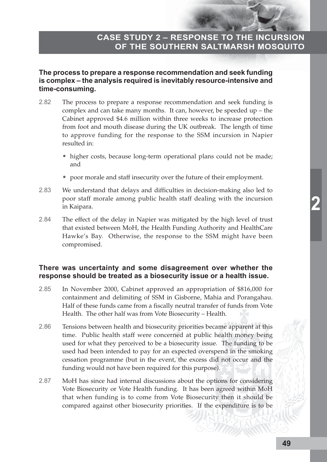#### **The process to prepare a response recommendation and seek funding is complex – the analysis required is inevitably resource-intensive and time-consuming.**

- 2.82 The process to prepare a response recommendation and seek funding is complex and can take many months. It can, however, be speeded up – the Cabinet approved \$4.6 million within three weeks to increase protection from foot and mouth disease during the UK outbreak. The length of time to approve funding for the response to the SSM incursion in Napier resulted in:
	- higher costs, because long-term operational plans could not be made; and
	- poor morale and staff insecurity over the future of their employment.
- 2.83 We understand that delays and difficulties in decision-making also led to poor staff morale among public health staff dealing with the incursion in Kaipara.
- 2.84 The effect of the delay in Napier was mitigated by the high level of trust that existed between MoH, the Health Funding Authority and HealthCare Hawke's Bay. Otherwise, the response to the SSM might have been compromised.

#### **There was uncertainty and some disagreement over whether the response should be treated as a biosecurity issue or a health issue.**

- 2.85 In November 2000, Cabinet approved an appropriation of \$816,000 for containment and delimiting of SSM in Gisborne, Mahia and Porangahau. Half of these funds came from a fiscally neutral transfer of funds from Vote Health. The other half was from Vote Biosecurity – Health*.*
- 2.86 Tensions between health and biosecurity priorities became apparent at this time. Public health staff were concerned at public health money being used for what they perceived to be a biosecurity issue. The funding to be used had been intended to pay for an expected overspend in the smoking cessation programme (but in the event, the excess did not occur and the funding would not have been required for this purpose).
- 2.87 MoH has since had internal discussions about the options for considering Vote Biosecurity or Vote Health funding. It has been agreed within MoH that when funding is to come from Vote Biosecurity then it should be compared against other biosecurity priorities. If the expenditure is to be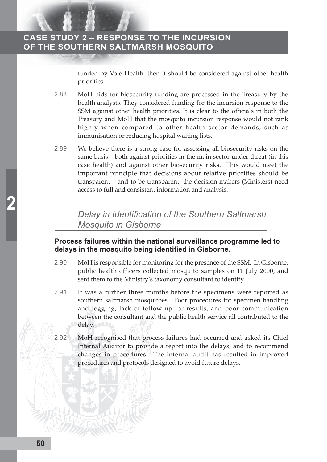funded by Vote Health*,* then it should be considered against other health priorities.

- 2.88 MoH bids for biosecurity funding are processed in the Treasury by the health analysts. They considered funding for the incursion response to the SSM against other health priorities. It is clear to the officials in both the Treasury and MoH that the mosquito incursion response would not rank highly when compared to other health sector demands, such as immunisation or reducing hospital waiting lists.
- 2.89 We believe there is a strong case for assessing all biosecurity risks on the same basis – both against priorities in the main sector under threat (in this case health) and against other biosecurity risks. This would meet the important principle that decisions about relative priorities should be transparent – and to be transparent, the decision-makers (Ministers) need access to full and consistent information and analysis.

# *Delay in Identification of the Southern Saltmarsh Mosquito in Gisborne*

#### **Process failures within the national surveillance programme led to delays in the mosquito being identified in Gisborne.**

- 2.90 MoH is responsible for monitoring for the presence of the SSM. In Gisborne, public health officers collected mosquito samples on 11 July 2000, and sent them to the Ministry's taxonomy consultant to identify.
- 2.91 It was a further three months before the specimens were reported as southern saltmarsh mosquitoes. Poor procedures for specimen handling and logging, lack of follow-up for results, and poor communication between the consultant and the public health service all contributed to the delay.
- 2.92 MoH recognised that process failures had occurred and asked its Chief Internal Auditor to provide a report into the delays, and to recommend changes in procedures. The internal audit has resulted in improved procedures and protocols designed to avoid future delays.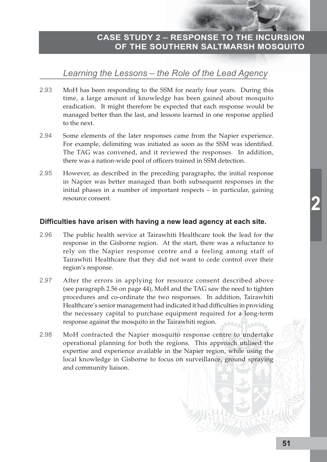# *Learning the Lessons – the Role of the Lead Agency*

- 2.93 MoH has been responding to the SSM for nearly four years. During this time, a large amount of knowledge has been gained about mosquito eradication. It might therefore be expected that each response would be managed better than the last, and lessons learned in one response applied to the next.
- 2.94 Some elements of the later responses came from the Napier experience. For example, delimiting was initiated as soon as the SSM was identified. The TAG was convened, and it reviewed the responses. In addition, there was a nation-wide pool of officers trained in SSM detection.
- 2.95 However, as described in the preceding paragraphs, the initial response in Napier was better managed than both subsequent responses in the initial phases in a number of important respects – in particular, gaining resource consent.

#### **Difficulties have arisen with having a new lead agency at each site.**

- 2.96 The public health service at Tairawhiti Healthcare took the lead for the response in the Gisborne region. At the start, there was a reluctance to rely on the Napier response centre and a feeling among staff of Tairawhiti Healthcare that they did not want to cede control over their region's response.
- 2.97 After the errors in applying for resource consent described above (see paragraph 2.56 on page 44), MoH and the TAG saw the need to tighten procedures and co-ordinate the two responses. In addition, Tairawhiti Healthcare's senior management had indicated it had difficulties in providing the necessary capital to purchase equipment required for a long-term response against the mosquito in the Tairawhiti region.
- 2.98 MoH contracted the Napier mosquito response centre to undertake operational planning for both the regions. This approach utilised the expertise and experience available in the Napier region, while using the local knowledge in Gisborne to focus on surveillance, ground spraying and community liaison.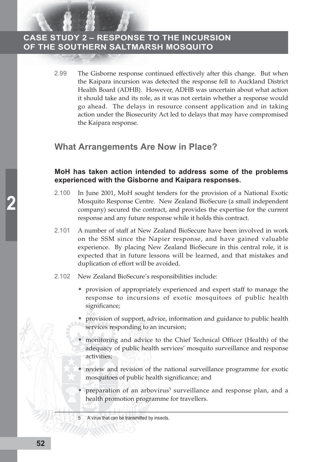> 2.99 The Gisborne response continued effectively after this change. But when the Kaipara incursion was detected the response fell to Auckland District Health Board (ADHB). However, ADHB was uncertain about what action it should take and its role, as it was not certain whether a response would go ahead. The delays in resource consent application and in taking action under the Biosecurity Act led to delays that may have compromised the Kaipara response.

#### **What Arrangements Are Now in Place?**

#### **MoH has taken action intended to address some of the problems experienced with the Gisborne and Kaipara responses.**

- 2.100 In June 2001, MoH sought tenders for the provision of a National Exotic Mosquito Response Centre. New Zealand BioSecure (a small independent company) secured the contract, and provides the expertise for the current response and any future response while it holds this contract.
- 2.101 A number of staff at New Zealand BioSecure have been involved in work on the SSM since the Napier response, and have gained valuable experience. By placing New Zealand BioSecure in this central role, it is expected that in future lessons will be learned, and that mistakes and duplication of effort will be avoided.
- 2.102 New Zealand BioSecure's responsibilities include:
	- provision of appropriately experienced and expert staff to manage the response to incursions of exotic mosquitoes of public health significance;
	- provision of support, advice, information and guidance to public health services responding to an incursion;
	- monitoring and advice to the Chief Technical Officer (Health) of the adequacy of public health services' mosquito surveillance and response activities;
	- review and revision of the national surveillance programme for exotic mosquitoes of public health significance; and
	- preparation of an arbovirus<sup>5</sup> surveillance and response plan, and a health promotion programme for travellers.

A virus that can be transmitted by insects.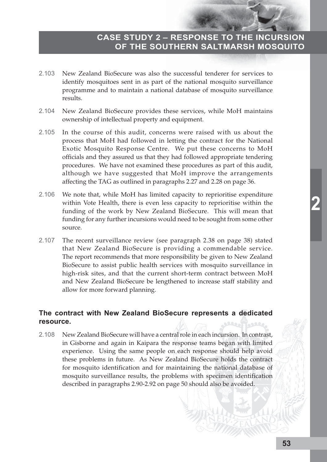- 2.103 New Zealand BioSecure was also the successful tenderer for services to identify mosquitoes sent in as part of the national mosquito surveillance programme and to maintain a national database of mosquito surveillance results.
- 2.104 New Zealand BioSecure provides these services, while MoH maintains ownership of intellectual property and equipment.
- 2.105 In the course of this audit, concerns were raised with us about the process that MoH had followed in letting the contract for the National Exotic Mosquito Response Centre. We put these concerns to MoH officials and they assured us that they had followed appropriate tendering procedures. We have not examined these procedures as part of this audit, although we have suggested that MoH improve the arrangements affecting the TAG as outlined in paragraphs 2.27 and 2.28 on page 36.
- 2.106 We note that, while MoH has limited capacity to reprioritise expenditure within Vote Health, there is even less capacity to reprioritise within the funding of the work by New Zealand BioSecure. This will mean that funding for any further incursions would need to be sought from some other source.
- 2.107 The recent surveillance review (see paragraph 2.38 on page 38) stated that New Zealand BioSecure is providing a commendable service. The report recommends that more responsibility be given to New Zealand BioSecure to assist public health services with mosquito surveillance in high-risk sites, and that the current short-term contract between MoH and New Zealand BioSecure be lengthened to increase staff stability and allow for more forward planning.

#### **The contract with New Zealand BioSecure represents a dedicated resource.**

2.108 New Zealand BioSecure will have a central role in each incursion. In contrast, in Gisborne and again in Kaipara the response teams began with limited experience. Using the same people on each response should help avoid these problems in future. As New Zealand BioSecure holds the contract for mosquito identification and for maintaining the national database of mosquito surveillance results, the problems with specimen identification described in paragraphs 2.90-2.92 on page 50 should also be avoided.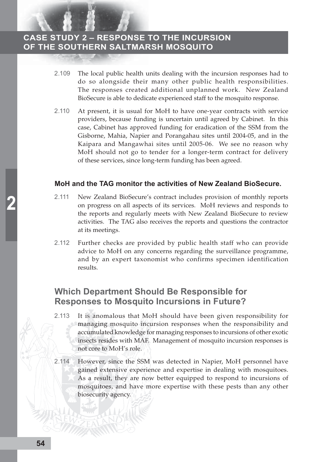- 2.109 The local public health units dealing with the incursion responses had to do so alongside their many other public health responsibilities. The responses created additional unplanned work. New Zealand BioSecure is able to dedicate experienced staff to the mosquito response.
- 2.110 At present, it is usual for MoH to have one-year contracts with service providers, because funding is uncertain until agreed by Cabinet. In this case, Cabinet has approved funding for eradication of the SSM from the Gisborne, Mahia, Napier and Porangahau sites until 2004-05, and in the Kaipara and Mangawhai sites until 2005-06. We see no reason why MoH should not go to tender for a longer-term contract for delivery of these services, since long-term funding has been agreed.

#### **MoH and the TAG monitor the activities of New Zealand BioSecure.**

- 2.111 New Zealand BioSecure's contract includes provision of monthly reports on progress on all aspects of its services. MoH reviews and responds to the reports and regularly meets with New Zealand BioSecure to review activities. The TAG also receives the reports and questions the contractor at its meetings.
- 2.112 Further checks are provided by public health staff who can provide advice to MoH on any concerns regarding the surveillance programme, and by an expert taxonomist who confirms specimen identification results.

#### **Which Department Should Be Responsible for Responses to Mosquito Incursions in Future?**

- 2.113 It is anomalous that MoH should have been given responsibility for managing mosquito incursion responses when the responsibility and accumulated knowledge for managing responses to incursions of other exotic insects resides with MAF. Management of mosquito incursion responses is not core to MoH's role.
- 2.114 However, since the SSM was detected in Napier, MoH personnel have gained extensive experience and expertise in dealing with mosquitoes. As a result, they are now better equipped to respond to incursions of mosquitoes, and have more expertise with these pests than any other biosecurity agency.